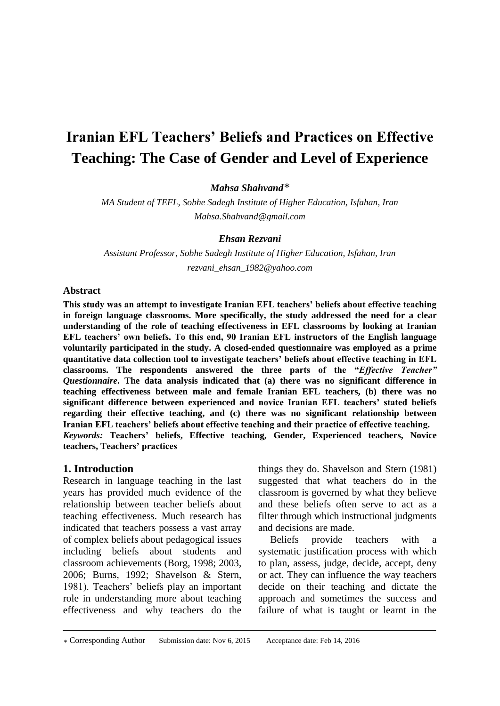# **Iranian EFL Teachers' Beliefs and Practices on Effective Teaching: The Case of Gender and Level of Experience**

*Mahsa Shahvand\**

*MA Student of TEFL, Sobhe Sadegh Institute of Higher Education, Isfahan, Iran [Mahsa.Shahvand@gmail.com](mailto:Mahsa.Shahvand@gmail.com)*

*Ehsan Rezvani*

*Assistant Professor, Sobhe Sadegh Institute of Higher Education, Isfahan, Iran rezvani\_ehsan\_1982@yahoo.com*

## **Abstract**

**This study was an attempt to investigate Iranian EFL teachers' beliefs about effective teaching in foreign language classrooms. More specifically, the study addressed the need for a clear understanding of the role of teaching effectiveness in EFL classrooms by looking at Iranian EFL teachers' own beliefs. To this end, 90 Iranian EFL instructors of the English language voluntarily participated in the study. A closed-ended questionnaire was employed as a prime quantitative data collection tool to investigate teachers' beliefs about effective teaching in EFL classrooms. The respondents answered the three parts of the "***Effective Teacher" Questionnaire***. The data analysis indicated that (a) there was no significant difference in teaching effectiveness between male and female Iranian EFL teachers, (b) there was no significant difference between experienced and novice Iranian EFL teachers' stated beliefs regarding their effective teaching, and (c) there was no significant relationship between Iranian EFL teachers' beliefs about effective teaching and their practice of effective teaching.** *Keywords:* **Teachers' beliefs, Effective teaching, Gender, Experienced teachers, Novice teachers, Teachers' practices**

#### **1. Introduction**

Research in language teaching in the last years has provided much evidence of the relationship between teacher beliefs about teaching effectiveness. Much research has indicated that teachers possess a vast array of complex beliefs about pedagogical issues including beliefs about students and classroom achievements (Borg, 1998; 2003, 2006; Burns, 1992; Shavelson & Stern, 1981). Teachers' beliefs play an important role in understanding more about teaching effectiveness and why teachers do the

things they do. Shavelson and Stern (1981) suggested that what teachers do in the classroom is governed by what they believe and these beliefs often serve to act as a filter through which instructional judgments and decisions are made.

Beliefs provide teachers with a systematic justification process with which to plan, assess, judge, decide, accept, deny or act. They can influence the way teachers decide on their teaching and dictate the approach and sometimes the success and failure of what is taught or learnt in the

<sup>\*</sup> Corresponding Author Submission date: Nov 6, 2015 Acceptance date: Feb 14, 2016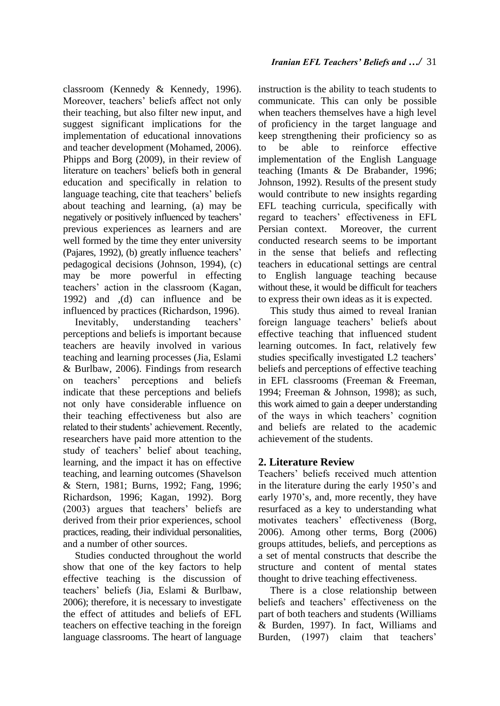classroom (Kennedy & Kennedy, 1996). Moreover, teachers' beliefs affect not only their teaching, but also filter new input, and suggest significant implications for the implementation of educational innovations and teacher development (Mohamed, 2006). Phipps and Borg (2009), in their review of literature on teachers' beliefs both in general education and specifically in relation to language teaching, cite that teachers' beliefs about teaching and learning, (a) may be negatively or positively influenced by teachers' previous experiences as learners and are well formed by the time they enter university (Pajares, 1992), (b) greatly influence teachers' pedagogical decisions (Johnson, 1994), (c)

may be more powerful in effecting

teachers' action in the classroom (Kagan, 1992) and ,(d) can influence and be influenced by practices (Richardson, 1996). Inevitably, understanding teachers'

perceptions and beliefs is important because teachers are heavily involved in various teaching and learning processes (Jia, Eslami & Burlbaw, 2006). Findings from research on teachers' perceptions and beliefs indicate that these perceptions and beliefs not only have considerable influence on their teaching effectiveness but also are related to their students' achievement. Recently, researchers have paid more attention to the study of teachers' belief about teaching, learning, and the impact it has on effective teaching, and learning outcomes (Shavelson & Stern, 1981; Burns, 1992; Fang, 1996; Richardson, 1996; Kagan, 1992). Borg (2003) argues that teachers' beliefs are derived from their prior experiences, school practices, reading, their individual personalities, and a number of other sources.

Studies conducted throughout the world show that one of the key factors to help effective teaching is the discussion of teachers' beliefs (Jia, Eslami & Burlbaw, 2006); therefore, it is necessary to investigate the effect of attitudes and beliefs of EFL teachers on effective teaching in the foreign language classrooms. The heart of language

instruction is the ability to teach students to communicate. This can only be possible when teachers themselves have a high level of proficiency in the target language and keep strengthening their proficiency so as to be able to reinforce effective implementation of the English Language teaching (Imants & De Brabander, 1996; Johnson, 1992). Results of the present study would contribute to new insights regarding EFL teaching curricula, specifically with regard to teachers' effectiveness in EFL Persian context. Moreover, the current conducted research seems to be important in the sense that beliefs and reflecting teachers in educational settings are central to English language teaching because without these, it would be difficult for teachers to express their own ideas as it is expected.

This study thus aimed to reveal Iranian foreign language teachers' beliefs about effective teaching that influenced student learning outcomes. In fact, relatively few studies specifically investigated L2 teachers' beliefs and perceptions of effective teaching in EFL classrooms (Freeman & Freeman, 1994; Freeman & Johnson, 1998); as such, this work aimed to gain a deeper understanding of the ways in which teachers' cognition and beliefs are related to the academic achievement of the students.

# **2. Literature Review**

Teachers' beliefs received much attention in the literature during the early 1950's and early 1970's, and, more recently, they have resurfaced as a key to understanding what motivates teachers' effectiveness (Borg, 2006). Among other terms, Borg (2006) groups attitudes, beliefs, and perceptions as a set of mental constructs that describe the structure and content of mental states thought to drive teaching effectiveness.

There is a close relationship between beliefs and teachers' effectiveness on the part of both teachers and students (Williams & Burden, 1997). In fact, Williams and Burden, (1997) claim that teachers'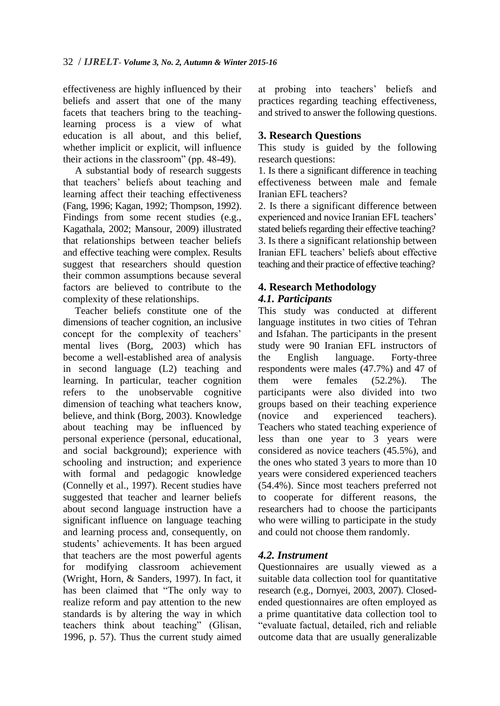effectiveness are highly influenced by their beliefs and assert that one of the many facets that teachers bring to the teachinglearning process is a view of what education is all about, and this belief, whether implicit or explicit, will influence their actions in the classroom" (pp. 48-49).

A substantial body of research suggests that teachers' beliefs about teaching and learning affect their teaching effectiveness (Fang, 1996; Kagan, 1992; Thompson, 1992). Findings from some recent studies (e.g., Kagathala, 2002; Mansour, 2009) illustrated that relationships between teacher beliefs and effective teaching were complex. Results suggest that researchers should question their common assumptions because several factors are believed to contribute to the complexity of these relationships.

Teacher beliefs constitute one of the dimensions of teacher cognition, an inclusive concept for the complexity of teachers' mental lives (Borg, 2003) which has become a well-established area of analysis in second language (L2) teaching and learning. In particular, teacher cognition refers to the unobservable cognitive dimension of teaching what teachers know, believe, and think (Borg, 2003). Knowledge about teaching may be influenced by personal experience (personal, educational, and social background); experience with schooling and instruction; and experience with formal and pedagogic knowledge (Connelly et al., 1997). Recent studies have suggested that teacher and learner beliefs about second language instruction have a significant influence on language teaching and learning process and, consequently, on students' achievements. It has been argued that teachers are the most powerful agents for modifying classroom achievement (Wright, Horn, & Sanders, 1997). In fact, it has been claimed that "The only way to realize reform and pay attention to the new standards is by altering the way in which teachers think about teaching" (Glisan, 1996, p. 57). Thus the current study aimed

at probing into teachers' beliefs and practices regarding teaching effectiveness, and strived to answer the following questions.

# **3. Research Questions**

This study is guided by the following research questions:

1. Is there a significant difference in teaching effectiveness between male and female Iranian EFL teachers?

2. Is there a significant difference between experienced and novice Iranian EFL teachers' stated beliefs regarding their effective teaching? 3. Is there a significant relationship between Iranian EFL teachers' beliefs about effective teaching and their practice of effective teaching?

## **4. Research Methodology** *4.1. Participants*

This study was conducted at different language institutes in two cities of Tehran and Isfahan. The participants in the present study were 90 Iranian EFL instructors of the English language. Forty-three respondents were males (47.7%) and 47 of them were females (52.2%). The participants were also divided into two groups based on their teaching experience (novice and experienced teachers). Teachers who stated teaching experience of less than one year to 3 years were considered as novice teachers (45.5%), and the ones who stated 3 years to more than 10 years were considered experienced teachers (54.4%). Since most teachers preferred not to cooperate for different reasons, the researchers had to choose the participants who were willing to participate in the study and could not choose them randomly.

# *4.2. Instrument*

Questionnaires are usually viewed as a suitable data collection tool for quantitative research (e.g., Dornyei, 2003, 2007). Closedended questionnaires are often employed as a prime quantitative data collection tool to "evaluate factual, detailed, rich and reliable outcome data that are usually generalizable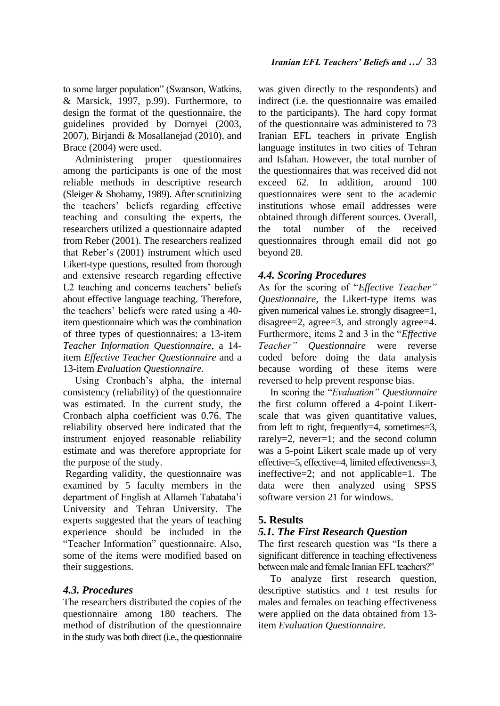to some larger population" (Swanson, Watkins, & Marsick, 1997, p.99). Furthermore, to design the format of the questionnaire, the guidelines provided by Dornyei (2003, 2007), Birjandi & Mosallanejad (2010), and Brace (2004) were used.

Administering proper questionnaires among the participants is one of the most reliable methods in descriptive research (Sleiger & Shohamy, 1989). After scrutinizing the teachers' beliefs regarding effective teaching and consulting the experts, the researchers utilized a questionnaire adapted from Reber (2001). The researchers realized that Reber's (2001) instrument which used Likert-type questions, resulted from thorough and extensive research regarding effective L<sub>2</sub> teaching and concerns teachers' beliefs about effective language teaching. Therefore, the teachers' beliefs were rated using a 40 item questionnaire which was the combination of three types of questionnaires: a 13-item *Teacher Information Questionnaire*, a 14 item *Effective Teacher Questionnaire* and a 13-item *Evaluation Questionnaire.* 

Using Cronbach's alpha, the internal consistency (reliability) of the questionnaire was estimated. In the current study, the Cronbach alpha coefficient was 0.76. The reliability observed here indicated that the instrument enjoyed reasonable reliability estimate and was therefore appropriate for the purpose of the study.

Regarding validity, the questionnaire was examined by 5 faculty members in the department of English at Allameh Tabataba'i University and Tehran University. The experts suggested that the years of teaching experience should be included in the "Teacher Information" questionnaire. Also, some of the items were modified based on their suggestions.

## *4.3. Procedures*

The researchers distributed the copies of the questionnaire among 180 teachers. The method of distribution of the questionnaire in the study was both direct (i.e., the questionnaire was given directly to the respondents) and indirect (i.e. the questionnaire was emailed to the participants). The hard copy format of the questionnaire was administered to 73 Iranian EFL teachers in private English language institutes in two cities of Tehran and Isfahan. However, the total number of the questionnaires that was received did not exceed 62. In addition, around 100 questionnaires were sent to the academic institutions whose email addresses were obtained through different sources. Overall, the total number of the received questionnaires through email did not go beyond 28.

# *4.4. Scoring Procedures*

As for the scoring of "*Effective Teacher" Questionnaire,* the Likert-type items was given numerical values i.e. strongly disagree=1, disagree=2, agree=3, and strongly agree=4. Furthermore, items 2 and 3 in the "*Effective Teacher" Questionnaire* were reverse coded before doing the data analysis because wording of these items were reversed to help prevent response bias.

In scoring the "*Evaluation" Questionnaire* the first column offered a 4-point Likertscale that was given quantitative values, from left to right, frequently=4, sometimes=3, rarely=2, never=1; and the second column was a 5-point Likert scale made up of very effective=5, effective=4, limited effectiveness=3, ineffective=2; and not applicable=1. The data were then analyzed using SPSS software version 21 for windows.

# **5. Results**

# *5.1. The First Research Question*

The first research question was "Is there a significant difference in teaching effectiveness between male and female Iranian EFL teachers?"

To analyze first research question, descriptive statistics and *t* test results for males and females on teaching effectiveness were applied on the data obtained from 13 item *Evaluation Questionnaire*.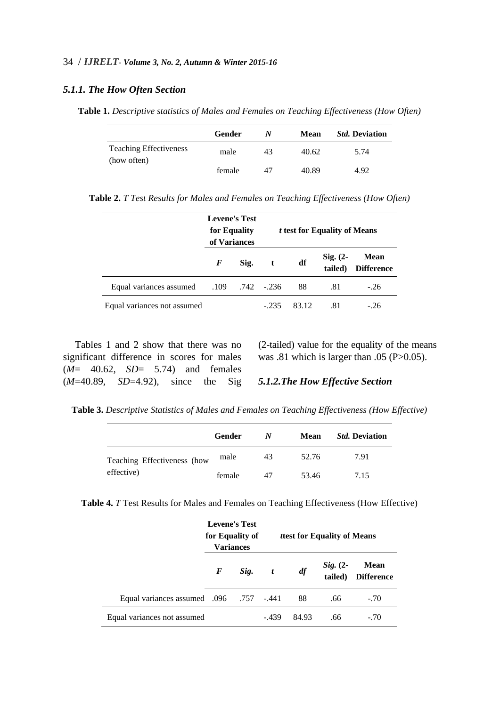#### 34 / *IJRELT- Volume 3, No. 2, Autumn & Winter 2015-16*

#### *5.1.1. The How Often Section*

**Table 1.** *Descriptive statistics of Males and Females on Teaching Effectiveness (How Often)*

|                                              | Gender | N  | Mean  | <i><b>Std. Deviation</b></i> |
|----------------------------------------------|--------|----|-------|------------------------------|
| <b>Teaching Effectiveness</b><br>(how often) | male   | 43 | 40.62 | 5.74                         |
|                                              | female | 47 | 40.89 | 4.92                         |

**Table 2.** *T Test Results for Males and Females on Teaching Effectiveness (How Often)*

|                             | <b>Levene's Test</b><br>for Equality<br>of Variances |                      |        |       | <i>t</i> test for Equality of Means |                                  |
|-----------------------------|------------------------------------------------------|----------------------|--------|-------|-------------------------------------|----------------------------------|
|                             | F                                                    | Sig.                 | t      | df    | $Sig. (2-$<br>tailed)               | <b>Mean</b><br><b>Difference</b> |
| Equal variances assumed     |                                                      | $.109$ $.742$ $.236$ |        | 88    | .81                                 | $-.26$                           |
| Equal variances not assumed |                                                      |                      | $-235$ | 83.12 | .81                                 | $-.26$                           |

Tables 1 and 2 show that there was no significant difference in scores for males (*M*= 40.62, *SD*= 5.74) and females (*M*=40.89, *SD*=4.92), since the Sig (2-tailed) value for the equality of the means was .81 which is larger than .05 (P>0.05).

#### *5.1.2.The How Effective Section*

**Table 3.** *Descriptive Statistics of Males and Females on Teaching Effectiveness (How Effective)*

|                             | Gender | N  | Mean  | <i><b>Std. Deviation</b></i> |
|-----------------------------|--------|----|-------|------------------------------|
| Teaching Effectiveness (how | male   | 43 | 52.76 | 7.91                         |
| effective)                  | female | 47 | 53.46 | 7.15                         |

**Table 4.** *T* Test Results for Males and Females on Teaching Effectiveness (How Effective)

|                                         | <b>Levene's Test</b><br>for Equality of<br><b>Variances</b> |      |       |       | <i>ttest</i> for Equality of Means |                                  |
|-----------------------------------------|-------------------------------------------------------------|------|-------|-------|------------------------------------|----------------------------------|
|                                         | F                                                           | Sig. | t     | df    | $Sig. (2-$<br>tailed)              | <b>Mean</b><br><b>Difference</b> |
| 441. 757. Bqual variances assumed 0.096 |                                                             |      |       | 88    | .66                                | $-.70$                           |
| Equal variances not assumed             |                                                             |      | - 439 | 84.93 | .66                                | $-.70$                           |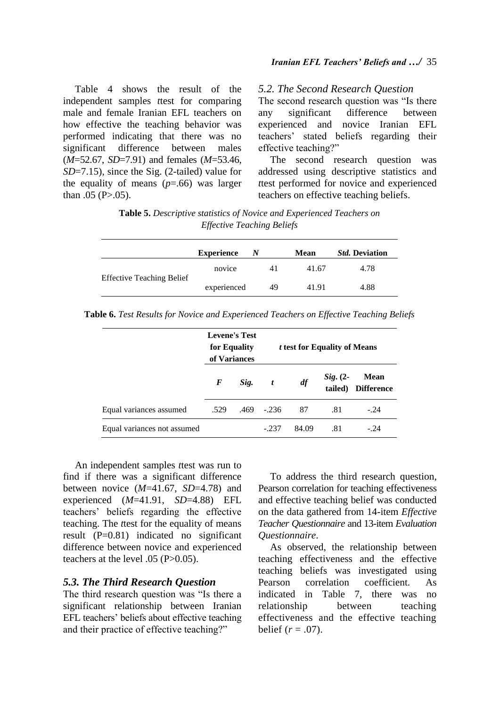Table 4 shows the result of the independent samples *t*test for comparing male and female Iranian EFL teachers on how effective the teaching behavior was performed indicating that there was no significant difference between males (*M*=52.67, *SD*=7.91) and females (*M*=53.46, *SD*=7.15), since the Sig. (2-tailed) value for the equality of means  $(p=.66)$  was larger than  $.05$  (P $> 0.05$ ).

#### *5.2. The Second Research Question*

The second research question was "Is there any significant difference between experienced and novice Iranian EFL teachers' stated beliefs regarding their effective teaching?"

The second research question was addressed using descriptive statistics and *t*test performed for novice and experienced teachers on effective teaching beliefs.

| <b>Table 5.</b> Descriptive statistics of Novice and Experienced Teachers on |  |
|------------------------------------------------------------------------------|--|
| <i>Effective Teaching Beliefs</i>                                            |  |

|                                  | <b>Experience</b> | N |    | <b>Mean</b> | <i><b>Std. Deviation</b></i> |
|----------------------------------|-------------------|---|----|-------------|------------------------------|
|                                  | novice            |   |    | 41.67       | 4.78                         |
| <b>Effective Teaching Belief</b> | experienced       |   | 49 | 41.91       | 4.88                         |

**Table 6.** *Test Results for Novice and Experienced Teachers on Effective Teaching Beliefs*

|                             | <b>Levene's Test</b><br>for Equality<br>of Variances |      |                  |       | <i>t</i> test for Equality of Means |                                  |
|-----------------------------|------------------------------------------------------|------|------------------|-------|-------------------------------------|----------------------------------|
|                             | F                                                    | Sig. | $\boldsymbol{t}$ | df    | $Sig. (2-$<br>tailed)               | <b>Mean</b><br><b>Difference</b> |
| Equal variances assumed     | .529                                                 | .469 | $-.236$          | 87    | .81                                 | $-.24$                           |
| Equal variances not assumed |                                                      |      | $-.237$          | 84.09 | .81                                 | $-.24$                           |

An independent samples *t*test was run to find if there was a significant difference between novice (*M*=41.67, *SD*=4.78) and experienced (*M*=41.91, *SD*=4.88) EFL teachers' beliefs regarding the effective teaching. The *t*test for the equality of means result (P=0.81) indicated no significant difference between novice and experienced teachers at the level .05 (P>0.05).

## *5.3. The Third Research Question*

The third research question was "Is there a significant relationship between Iranian EFL teachers' beliefs about effective teaching and their practice of effective teaching?"

To address the third research question, Pearson correlation for teaching effectiveness and effective teaching belief was conducted on the data gathered from 14-item *Effective Teacher Questionnaire* and 13-item *Evaluation Questionnaire*.

As observed, the relationship between teaching effectiveness and the effective teaching beliefs was investigated using Pearson correlation coefficient. As indicated in Table 7, there was no relationship between teaching effectiveness and the effective teaching belief  $(r = .07)$ .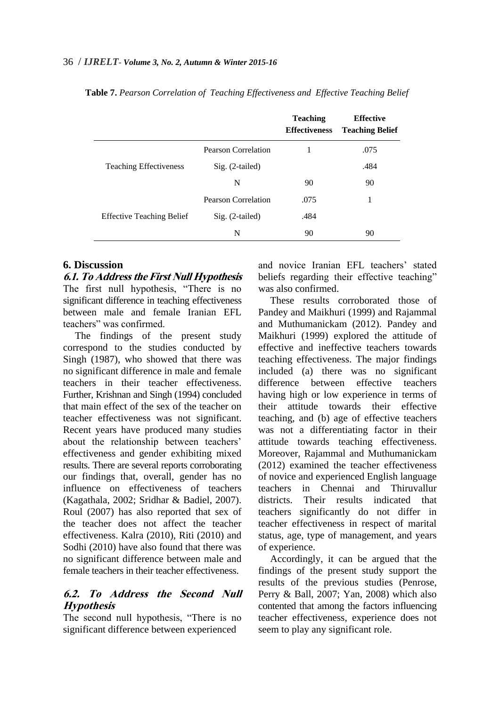|                                  |                            | <b>Teaching</b><br><b>Effectiveness</b> | <b>Effective</b><br><b>Teaching Belief</b> |
|----------------------------------|----------------------------|-----------------------------------------|--------------------------------------------|
|                                  | Pearson Correlation        | 1                                       | .075                                       |
| <b>Teaching Effectiveness</b>    | $Sig. (2-tailed)$          |                                         | .484                                       |
|                                  | N                          | 90                                      | 90                                         |
|                                  | <b>Pearson Correlation</b> | .075                                    |                                            |
| <b>Effective Teaching Belief</b> | $Sig. (2-tailed)$          | .484                                    |                                            |
|                                  | N                          | 90                                      | 90                                         |

**Table 7.** *Pearson Correlation of Teaching Effectiveness and Effective Teaching Belief*

## **6. Discussion**

**6.1. To Address the First Null Hypothesis** The first null hypothesis, "There is no significant difference in teaching effectiveness between male and female Iranian EFL teachers" was confirmed.

The findings of the present study correspond to the studies conducted by Singh (1987), who showed that there was no significant difference in male and female teachers in their teacher effectiveness. Further, Krishnan and Singh (1994) concluded that main effect of the sex of the teacher on teacher effectiveness was not significant. Recent years have produced many studies about the relationship between teachers' effectiveness and gender exhibiting mixed results. There are several reports corroborating our findings that, overall, gender has no influence on effectiveness of teachers (Kagathala, 2002; Sridhar & Badiel, 2007). Roul (2007) has also reported that sex of the teacher does not affect the teacher effectiveness. Kalra (2010), Riti (2010) and Sodhi (2010) have also found that there was no significant difference between male and female teachers in their teacher effectiveness.

# **6.2. To Address the Second Null Hypothesis**

The second null hypothesis, "There is no significant difference between experienced

and novice Iranian EFL teachers' stated beliefs regarding their effective teaching" was also confirmed.

These results corroborated those of Pandey and Maikhuri (1999) and Rajammal and Muthumanickam (2012). Pandey and Maikhuri (1999) explored the attitude of effective and ineffective teachers towards teaching effectiveness. The major findings included (a) there was no significant difference between effective teachers having high or low experience in terms of their attitude towards their effective teaching, and (b) age of effective teachers was not a differentiating factor in their attitude towards teaching effectiveness. Moreover, Rajammal and Muthumanickam (2012) examined the teacher effectiveness of novice and experienced English language teachers in Chennai and Thiruvallur districts. Their results indicated that teachers significantly do not differ in teacher effectiveness in respect of marital status, age, type of management, and years of experience.

Accordingly, it can be argued that the findings of the present study support the results of the previous studies (Penrose, Perry & Ball, 2007; Yan, 2008) which also contented that among the factors influencing teacher effectiveness, experience does not seem to play any significant role.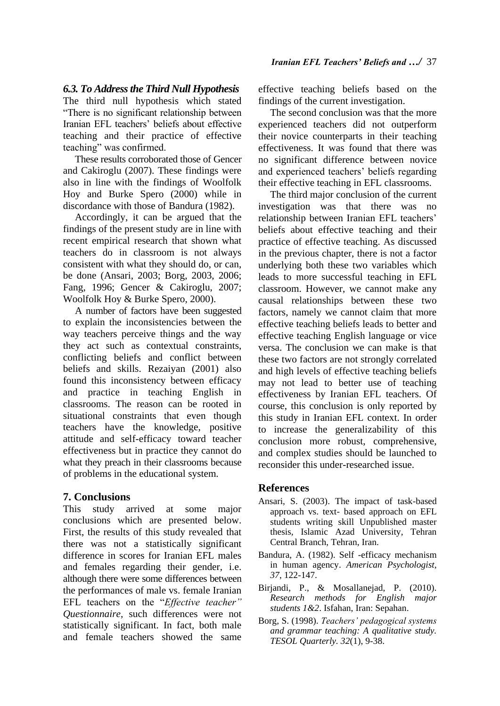## *6.3. To Address the Third Null Hypothesis*

The third null hypothesis which stated "There is no significant relationship between Iranian EFL teachers' beliefs about effective teaching and their practice of effective teaching" was confirmed.

These results corroborated those of Gencer and Cakiroglu (2007). These findings were also in line with the findings of Woolfolk Hoy and Burke Spero (2000) while in discordance with those of Bandura (1982).

Accordingly, it can be argued that the findings of the present study are in line with recent empirical research that shown what teachers do in classroom is not always consistent with what they should do, or can, be done (Ansari, 2003; Borg, 2003, 2006; Fang, 1996; Gencer & Cakiroglu, 2007; Woolfolk Hoy & Burke Spero, 2000).

A number of factors have been suggested to explain the inconsistencies between the way teachers perceive things and the way they act such as contextual constraints, conflicting beliefs and conflict between beliefs and skills. Rezaiyan (2001) also found this inconsistency between efficacy and practice in teaching English in classrooms. The reason can be rooted in situational constraints that even though teachers have the knowledge, positive attitude and self-efficacy toward teacher effectiveness but in practice they cannot do what they preach in their classrooms because of problems in the educational system.

## **7. Conclusions**

This study arrived at some major conclusions which are presented below. First, the results of this study revealed that there was not a statistically significant difference in scores for Iranian EFL males and females regarding their gender, i.e. although there were some differences between the performances of male vs. female Iranian EFL teachers on the "*Effective teacher" Questionnaire,* such differences were not statistically significant. In fact, both male and female teachers showed the same

effective teaching beliefs based on the findings of the current investigation.

The second conclusion was that the more experienced teachers did not outperform their novice counterparts in their teaching effectiveness. It was found that there was no significant difference between novice and experienced teachers' beliefs regarding their effective teaching in EFL classrooms.

The third major conclusion of the current investigation was that there was no relationship between Iranian EFL teachers' beliefs about effective teaching and their practice of effective teaching. As discussed in the previous chapter, there is not a factor underlying both these two variables which leads to more successful teaching in EFL classroom. However, we cannot make any causal relationships between these two factors, namely we cannot claim that more effective teaching beliefs leads to better and effective teaching English language or vice versa. The conclusion we can make is that these two factors are not strongly correlated and high levels of effective teaching beliefs may not lead to better use of teaching effectiveness by Iranian EFL teachers. Of course, this conclusion is only reported by this study in Iranian EFL context. In order to increase the generalizability of this conclusion more robust, comprehensive, and complex studies should be launched to reconsider this under-researched issue.

#### **References**

- Ansari, S. (2003). The impact of task-based approach vs. text- based approach on EFL students writing skill Unpublished master thesis*,* Islamic Azad University, Tehran Central Branch, Tehran, Iran.
- Bandura, A. (1982). Self -efficacy mechanism in human agency. *American Psychologist, 37*, 122-147.
- Birjandi, P., & Mosallanejad, P. (2010). *Research methods for English major students 1&2*. Isfahan, Iran: Sepahan.
- Borg, S. (1998). *Teachers' pedagogical systems and grammar teaching: A qualitative study. TESOL Quarterly. 32*(1), 9-38.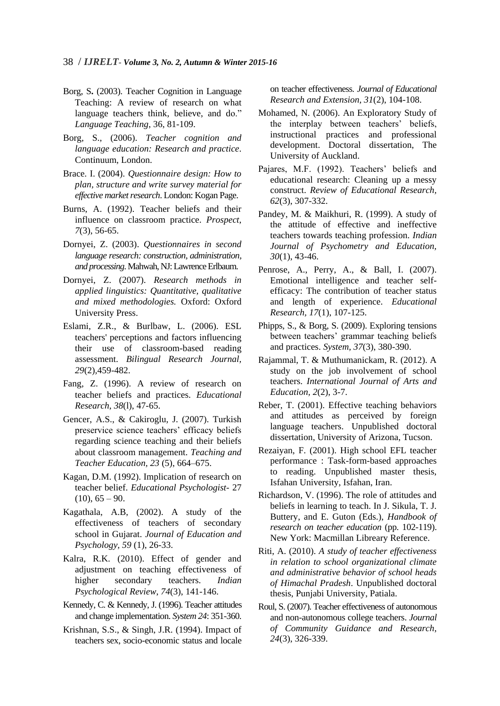- Borg, S**.** (2003). Teacher Cognition in Language Teaching: A review of research on what language teachers think, believe, and do." *Language Teaching*, 36, 81-109.
- Borg, S., (2006). *Teacher cognition and language education: Research and practice*. Continuum, London.
- Brace. I. (2004). *Questionnaire design: How to plan, structure and write survey material for effective market research*. London: Kogan Page.
- Burns, A. (1992). Teacher beliefs and their influence on classroom practice. *Prospect*, *7*(3), 56-65.
- Dornyei, Z. (2003). *Questionnaires in second language research: construction, administration, and processing*. Mahwah, NJ: Lawrence Erlbaum.
- Dornyei, Z. (2007). *Research methods in applied linguistics: Quantitative, qualitative and mixed methodologies.* Oxford: Oxford University Press.
- Eslami, Z.R., & Burlbaw, L. (2006). ESL teachers' perceptions and factors influencing their use of classroom-based reading assessment. *Bilingual Research Journal, 29*(2)*,*459-482.
- Fang, Z. (1996). A review of research on teacher beliefs and practices. *Educational Research*, *38*(l), 47-65.
- Gencer, A.S., & Cakiroglu, J. (2007). Turkish preservice science teachers' efficacy beliefs regarding science teaching and their beliefs about classroom management. *Teaching and Teacher Education, 23* (5), 664–675.
- Kagan, D.M. (1992). Implication of research on teacher belief. *Educational Psychologist*- 27  $(10), 65 - 90.$
- Kagathala, A.B, (2002). A study of the effectiveness of teachers of secondary school in Gujarat. *Journal of Education and Psychology, 59* (1), 26-33.
- Kalra, R.K. (2010). Effect of gender and adjustment on teaching effectiveness of higher secondary teachers. *Indian Psychological Review*, *74*(3), 141-146.
- Kennedy, C. & Kennedy, J. (1996). Teacher attitudes and change implementation. *System 24*: 351-360.
- Krishnan, S.S., & Singh, J.R. (1994). Impact of teachers sex, socio-economic status and locale

on teacher effectiveness. *Journal of Educational Research and Extension, 31*(2), 104-108.

- Mohamed, N. (2006). An Exploratory Study of the interplay between teachers' beliefs, instructional practices and professional development. Doctoral dissertation, The University of Auckland.
- Pajares, M.F. (1992). Teachers' beliefs and educational research: Cleaning up a messy construct. *Review of Educational Research, 62*(3), 307-332.
- Pandey, M. & Maikhuri, R. (1999). A study of the attitude of effective and ineffective teachers towards teaching profession. *Indian Journal of Psychometry and Education, 30*(1), 43-46.
- Penrose, A., Perry, A., & Ball, I. (2007). Emotional intelligence and teacher selfefficacy: The contribution of teacher status and length of experience. *Educational Research, 17*(1), 107-125.
- Phipps, S., & Borg, S. (2009). Exploring tensions between teachers' grammar teaching beliefs and practices. *System, 37*(3), 380-390.
- Rajammal, T. & Muthumanickam, R. (2012). A study on the job involvement of school teachers. *International Journal of Arts and Education, 2*(2), 3-7.
- Reber, T. (2001). Effective teaching behaviors and attitudes as perceived by foreign language teachers. Unpublished doctoral dissertation, University of Arizona, Tucson.
- Rezaiyan, F. (2001). High school EFL teacher performance : Task-form-based approaches to reading. Unpublished master thesis, Isfahan University, Isfahan, Iran.
- Richardson, V. (1996). The role of attitudes and beliefs in learning to teach. In J. Sikula, T. J. Buttery, and E. Guton (Eds.), *Handbook of research on teacher education* (pp. 102-119). New York: Macmillan Libreary Reference.
- Riti, A. (2010). *A study of teacher effectiveness in relation to school organizational climate and administrative behavior of school heads of Himachal Pradesh*. Unpublished doctoral thesis, Punjabi University, Patiala.
- Roul, S. (2007). Teacher effectiveness of autonomous and non-autonomous college teachers. *Journal of Community Guidance and Research*, *24*(3), 326-339.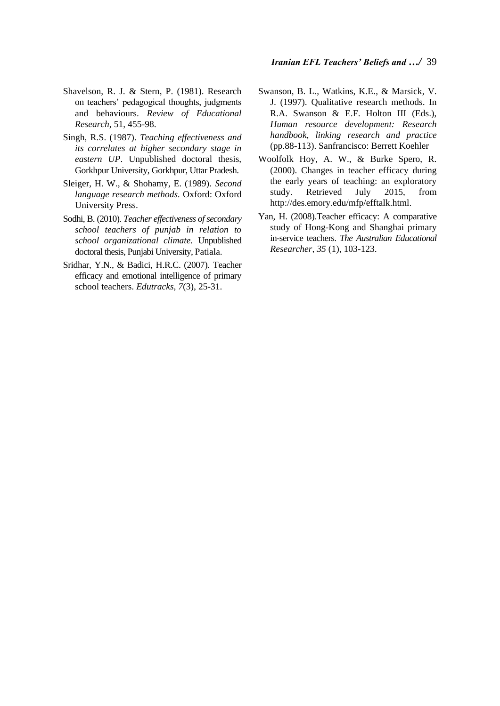- Shavelson, R. J. & Stern, P. (1981). Research on teachers' pedagogical thoughts, judgments and behaviours. *Review of Educational Research*, 51, 455-98.
- Singh, R.S. (1987). *Teaching effectiveness and its correlates at higher secondary stage in eastern UP*. Unpublished doctoral thesis, Gorkhpur University, Gorkhpur, Uttar Pradesh.
- Sleiger, H. W., & Shohamy, E. (1989). *Second language research methods.* Oxford: Oxford University Press.
- Sodhi, B. (2010). *Teacher effectiveness of secondary school teachers of punjab in relation to school organizational climate.* Unpublished doctoral thesis, Punjabi University, Patiala.
- Sridhar, Y.N., & Badici, H.R.C. (2007). Teacher efficacy and emotional intelligence of primary school teachers. *Edutracks, 7*(3), 25-31.
- Swanson, B. L., Watkins, K.E., & Marsick, V. J. (1997). Qualitative research methods. In R.A. Swanson & E.F. Holton III (Eds.), *Human resource development: Research handbook, linking research and practice* (pp.88-113). Sanfrancisco: Berrett Koehler
- Woolfolk Hoy, A. W., & Burke Spero, R. (2000). Changes in teacher efficacy during the early years of teaching: an exploratory study. Retrieved July 2015, from http://des.emory.edu/mfp/efftalk.html.
- Yan, H. (2008).Teacher efficacy: A comparative study of Hong-Kong and Shanghai primary in-service teachers. *The Australian Educational Researcher, 35* (1), 103-123.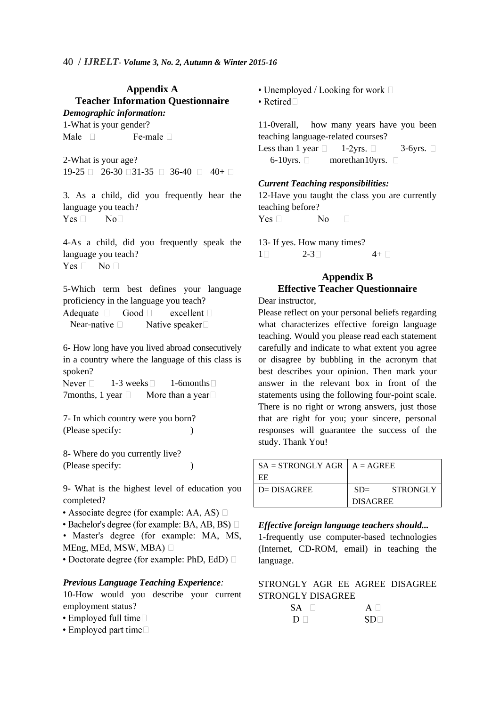## **Appendix A Teacher Information Questionnaire** *Demographic information:*

1-What is your gender? Male  $\Box$ Fe-male  $\Box$ 

2-What is your age?  $19-25 \Box 26-30 \Box 31-35 \Box 36-40 \Box 40+ \Box$ 

3. As a child, did you frequently hear the language you teach? Yes  $\Box$  $No<sub>1</sub>$ 

4-As a child, did you frequently speak the language you teach?  $Yes \Box No \Box$ 

5-Which term best defines your language proficiency in the language you teach?

Adequate  $\Box$  Good  $\Box$ excellent  $\square$ Near-native  $\square$ Native speaker $\square$ 

6- How long have you lived abroad consecutively in a country where the language of this class is spoken?

Never  $\Box$ 1-3 weeks  $\Box$  1-6 months  $\Box$ 7months, 1 year  $\Box$ More than a year  $\square$ 

7- In which country were you born? (Please specify: )

8- Where do you currently live? (Please specify: )

9- What is the highest level of education you completed?

- Associate degree (for example: AA, AS)  $\square$
- $\bullet$  Bachelor's degree (for example: BA, AB, BS)  $\Box$

• Master's degree (for example: MA, MS, MEng, MEd, MSW, MBA)  $\Box$ 

• Doctorate degree (for example: PhD, EdD)  $\Box$ 

## *Previous Language Teaching Experience:*

10-How would you describe your current employment status?

- $\bullet$  Employed full time $\Box$
- $\cdot$  Employed part time  $\Box$

• Unemployed / Looking for work  $\Box$  $\bullet$  Retired $\Box$ 

11-0verall, how many years have you been teaching language-related courses?

Less than 1 year  $\Box$  1-2yrs.  $\Box$  3-6yrs.  $\Box$ 6-10yrs.  $\Box$  more than 10 yrs.  $\Box$ 

#### *Current Teaching responsibilities:*

12-Have you taught the class you are currently teaching before? Yes  $\Box$  $\overline{N}$  $\Box$ 

13- If yes. How many times?  $1 \Box$  2-3 4+

# **Appendix B Effective Teacher Questionnaire**

Dear instructor.

Please reflect on your personal beliefs regarding what characterizes effective foreign language teaching. Would you please read each statement carefully and indicate to what extent you agree or disagree by bubbling in the acronym that best describes your opinion. Then mark your answer in the relevant box in front of the statements using the following four-point scale. There is no right or wrong answers, just those that are right for you; your sincere, personal responses will guarantee the success of the study. Thank You!

| $SA = STRONGLY AGR$   $A = AGREE$ |                 |          |
|-----------------------------------|-----------------|----------|
| -EE                               |                 |          |
| $D = DISAGREE$                    | $SD =$          | STRONGLY |
|                                   | <b>DISAGREE</b> |          |

*Effective foreign language teachers should...*

1-frequently use computer-based technologies (Internet, CD-ROM, email) in teaching the language.

STRONGLY AGR EE AGREE DISAGREE STRONGLY DISAGREE

| SA -   | $A \Box$        |
|--------|-----------------|
| $\Box$ | SD <sub>1</sub> |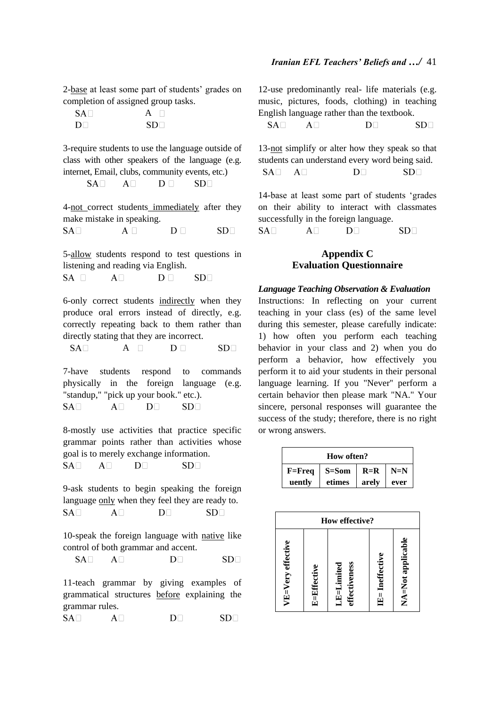2-base at least some part of students' grades on completion of assigned group tasks.

| $SA\Box$       | A               |
|----------------|-----------------|
| D <sub>1</sub> | SD <sub>1</sub> |

3-require students to use the language outside of class with other speakers of the language (e.g. internet, Email, clubs, community events, etc.)

4-not correct students immediately after they make mistake in speaking.  $SA<sub>1</sub>$ 

 $D \Box$  $SD<sub>1</sub>$  $A \Box$ 

5-allow students respond to test questions in listening and reading via English.

 $SA \square$  $A\Box$  $D \Box$  $SD\square$ 

6-only correct students indirectly when they produce oral errors instead of directly, e.g. correctly repeating back to them rather than directly stating that they are incorrect.

 $SA \Box$   $A \Box$  $D \Box$  $SD<sub>1</sub>$ 

7-have students respond to commands physically in the foreign language (e.g. "standup," "pick up your book." etc.).  $A\Box$  $D<sub>1</sub>$  $SA<sub>1</sub>$  $SD\square$ 

8-mostly use activities that practice specific grammar points rather than activities whose goal is to merely exchange information.  $SA<sub>1</sub>$  $A\Box$  $D<sub>1</sub>$  $SD<sub>1</sub>$ 

9-ask students to begin speaking the foreign language only when they feel they are ready to.  $SA<sub>1</sub>$  $A \Box$  $D^ SD<sub>1</sub>$ 

10-speak the foreign language with native like control of both grammar and accent.

 $SA<sub>1</sub>$  $SD<sub>1</sub>$  $A\Box$  $D^-$ 

11-teach grammar by giving examples of grammatical structures before explaining the grammar rules.

 $SA<sub>1</sub>$  $D^{\square}$  $SD<sub>1</sub>$  $A \Box$ 

12-use predominantly real- life materials (e.g. music, pictures, foods, clothing) in teaching English language rather than the textbook.  $SA<sub>1</sub>$  $A\Box$  $D<sub>1</sub>$  $SD<sub>1</sub>$ 

13-not simplify or alter how they speak so that students can understand every word being said.  $SA<sub>1</sub>$  $A\Box$  $D\Box$  $SD<sub>1</sub>$ 

14-base at least some part of students 'grades on their ability to interact with classmates successfully in the foreign language.  $SA<sub>1</sub>$  $A\Box$  $D<sub>1</sub>$  $SD\square$ 

## **Appendix C Evaluation Questionnaire**

#### *Language Teaching Observation & Evaluation*

Instructions: In reflecting on your current teaching in your class (es) of the same level during this semester, please carefully indicate: 1) how often you perform each teaching behavior in your class and 2) when you do perform a behavior, how effectively you perform it to aid your students in their personal language learning. If you "Never'' perform a certain behavior then please mark "NA." Your sincere, personal responses will guarantee the success of the study; therefore, there is no right or wrong answers.

| How often? |           |       |       |
|------------|-----------|-------|-------|
| $F = Freq$ | $S = Som$ | $R=R$ | $N=N$ |
| uently     | etimes    | arely | ever  |

| How effective?    |                    |                             |                  |                   |
|-------------------|--------------------|-----------------------------|------------------|-------------------|
| VE=Very effective | <b>E=Effective</b> | effectiveness<br>LE=Limited | Ineffective<br>当 | NA=Not applicable |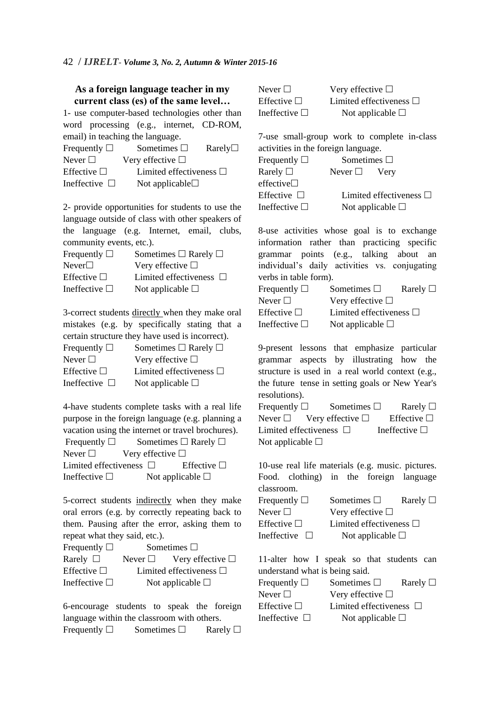## **As a foreign language teacher in my current class (es) of the same level…**

1- use computer-based technologies other than word processing (e.g., internet, CD-ROM, email) in teaching the language.

| Frequently $\Box$  | Sometimes $\square$          | $\mathrm{Rarely}\Box$ |
|--------------------|------------------------------|-----------------------|
| Never $\Box$       | Very effective $\Box$        |                       |
| Effective $\Box$   | Limited effectiveness $\Box$ |                       |
| Ineffective $\Box$ | Not applicable $\square$     |                       |

2- provide opportunities for students to use the language outside of class with other speakers of the language (e.g. Internet, email, clubs, community events, etc.).

| Frequently $\Box$  | Sometimes $\Box$ Rarely $\Box$ |
|--------------------|--------------------------------|
| Never              | Very effective $\square$       |
| Effective $\Box$   | Limited effectiveness $\Box$   |
| Ineffective $\Box$ | Not applicable $\square$       |

3-correct students directly when they make oral mistakes (e.g. by specifically stating that a certain structure they have used is incorrect). Frequently  $\Box$  Sometimes  $\Box$  Rarely  $\Box$ 

| $1$ Tequellity $\Box$ | $\sim$ $\sim$ $\sim$ $\sim$ $\sim$ $\sim$ $\sim$ |
|-----------------------|--------------------------------------------------|
| Never $\Box$          | Very effective $\Box$                            |
| Effective $\Box$      | Limited effectiveness $\Box$                     |
| Ineffective $\Box$    | Not applicable $\square$                         |

4-have students complete tasks with a real life purpose in the foreign language (e.g. planning a vacation using the internet or travel brochures). Frequently  $\square$  Sometimes  $\square$  Rarely  $\square$ Never  $\Box$  Very effective  $\Box$ 

Limited effectiveness  $\Box$  Effective  $\Box$ Ineffective  $\square$  Not applicable  $\square$ 

5-correct students indirectly when they make oral errors (e.g. by correctly repeating back to them. Pausing after the error, asking them to repeat what they said, etc.).

| Frequently $\Box$  | Sometimes $\square$ |                              |  |
|--------------------|---------------------|------------------------------|--|
| Rarely $\Box$      | Never $\Box$        | Very effective $\Box$        |  |
| Effective $\Box$   |                     | Limited effectiveness $\Box$ |  |
| Ineffective $\Box$ |                     | Not applicable $\square$     |  |

6-encourage students to speak the foreign language within the classroom with others. Frequently  $\square$  Sometimes  $\square$  Rarely  $\square$ 

| Never $\Box$       | Very effective $\Box$        |
|--------------------|------------------------------|
| Effective $\Box$   | Limited effectiveness $\Box$ |
| Ineffective $\Box$ | Not applicable $\square$     |

7-use small-group work to complete in-class activities in the foreign language. Frequently  $\square$  Sometimes  $\square$ Rarely  $\Box$  Never  $\Box$  Very  $effective$ Effective  $\Box$  Limited effectiveness  $\Box$ Ineffective  $\square$  Not applicable  $\square$ 

8-use activities whose goal is to exchange information rather than practicing specific grammar points (e.g., talking about an individual's daily activities vs. conjugating verbs in table form). Frequently  $\square$  Sometimes  $\square$  Rarely  $\square$ Never  $\Box$  Very effective  $\Box$ Effective  $\square$  Limited effectiveness  $\square$ Ineffective  $\square$  Not applicable  $\square$ 

9-present lessons that emphasize particular grammar aspects by illustrating how the structure is used in a real world context (e.g., the future tense in setting goals or New Year's resolutions). Frequently  $\square$  Sometimes  $\square$  Rarely  $\square$ Never  $\Box$  Very effective  $\Box$  Effective  $\Box$ 

Limited effectiveness  $\Box$  Ineffective  $\Box$ Not applicable  $\square$ 

10-use real life materials (e.g. music. pictures. Food. clothing) in the foreign language classroom. Frequently  $\square$  Sometimes  $\square$  Rarely  $\square$ Never  $\Box$  Very effective  $\Box$ Effective  $\square$  Limited effectiveness  $\square$ Ineffective  $\square$  Not applicable  $\square$ 

11-alter how I speak so that students can understand what is being said.

| Frequently $\square$ | Sometimes $\Box$             | Rarely $\Box$ |
|----------------------|------------------------------|---------------|
| Never $\Box$         | Very effective $\Box$        |               |
| Effective $\square$  | Limited effectiveness $\Box$ |               |
| Ineffective $\Box$   | Not applicable $\square$     |               |